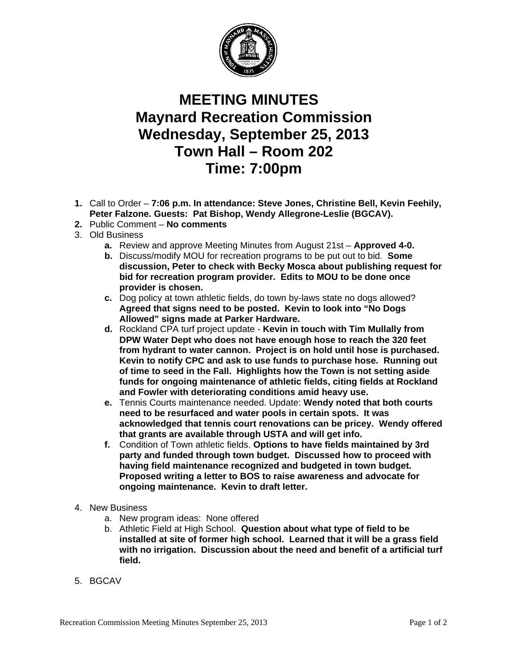

## **MEETING MINUTES Maynard Recreation Commission Wednesday, September 25, 2013 Town Hall – Room 202 Time: 7:00pm**

- **1.** Call to Order **7:06 p.m. In attendance: Steve Jones, Christine Bell, Kevin Feehily, Peter Falzone. Guests: Pat Bishop, Wendy Allegrone-Leslie (BGCAV).**
- **2.** Public Comment **No comments**
- 3. Old Business
	- **a.** Review and approve Meeting Minutes from August 21st **Approved 4-0.**
	- **b.** Discuss/modify MOU for recreation programs to be put out to bid. **Some discussion, Peter to check with Becky Mosca about publishing request for bid for recreation program provider. Edits to MOU to be done once provider is chosen.**
	- **c.** Dog policy at town athletic fields, do town by-laws state no dogs allowed? **Agreed that signs need to be posted. Kevin to look into "No Dogs Allowed" signs made at Parker Hardware.**
	- **d.** Rockland CPA turf project update **Kevin in touch with Tim Mullally from DPW Water Dept who does not have enough hose to reach the 320 feet from hydrant to water cannon. Project is on hold until hose is purchased. Kevin to notify CPC and ask to use funds to purchase hose. Running out of time to seed in the Fall. Highlights how the Town is not setting aside funds for ongoing maintenance of athletic fields, citing fields at Rockland and Fowler with deteriorating conditions amid heavy use.**
	- **e.** Tennis Courts maintenance needed. Update: **Wendy noted that both courts need to be resurfaced and water pools in certain spots. It was acknowledged that tennis court renovations can be pricey. Wendy offered that grants are available through USTA and will get info.**
	- **f.** Condition of Town athletic fields. **Options to have fields maintained by 3rd party and funded through town budget. Discussed how to proceed with having field maintenance recognized and budgeted in town budget. Proposed writing a letter to BOS to raise awareness and advocate for ongoing maintenance. Kevin to draft letter.**
- 4. New Business
	- a. New program ideas: None offered
	- b. Athletic Field at High School. **Question about what type of field to be installed at site of former high school. Learned that it will be a grass field with no irrigation. Discussion about the need and benefit of a artificial turf field.**
- 5. BGCAV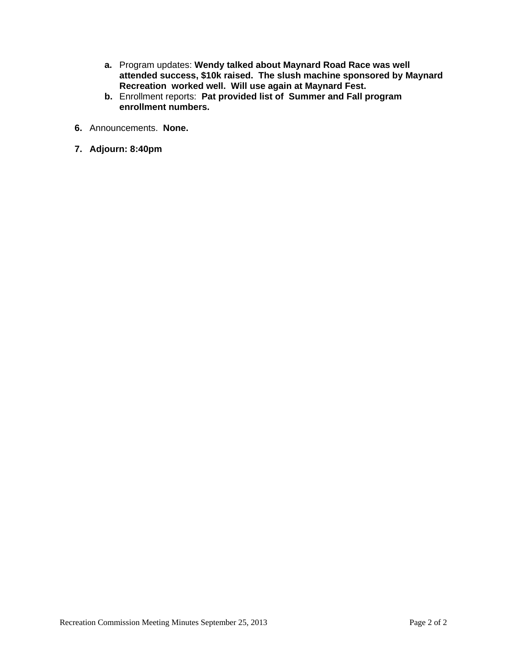- **a.** Program updates: **Wendy talked about Maynard Road Race was well attended success, \$10k raised. The slush machine sponsored by Maynard Recreation worked well. Will use again at Maynard Fest.**
- **b.** Enrollment reports: **Pat provided list of Summer and Fall program enrollment numbers.**
- **6.** Announcements. **None.**
- **7. Adjourn: 8:40pm**